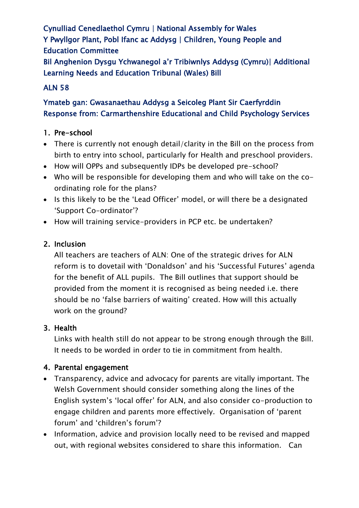Cynulliad Cenedlaethol Cymru | National Assembly for Wales Y Pwyllgor Plant, Pobl Ifanc ac Addysg | Children, Young People and Education Committee Bil Anghenion Dysgu Ychwanegol a'r Tribiwnlys Addysg (Cymru)| Additional Learning Needs and Education Tribunal (Wales) Bill

## ALN 58

# Ymateb gan: Gwasanaethau Addysg a Seicoleg Plant Sir Caerfyrddin Response from: Carmarthenshire Educational and Child Psychology Services

## 1. Pre-school

- There is currently not enough detail/clarity in the Bill on the process from birth to entry into school, particularly for Health and preschool providers.
- How will OPPs and subsequently IDPs be developed pre-school?
- Who will be responsible for developing them and who will take on the coordinating role for the plans?
- Is this likely to be the 'Lead Officer' model, or will there be a designated 'Support Co-ordinator'?
- How will training service-providers in PCP etc. be undertaken?

#### 2. Inclusion

All teachers are teachers of ALN: One of the strategic drives for ALN reform is to dovetail with 'Donaldson' and his 'Successful Futures' agenda for the benefit of ALL pupils. The Bill outlines that support should be provided from the moment it is recognised as being needed i.e. there should be no 'false barriers of waiting' created. How will this actually work on the ground?

#### 3. Health

Links with health still do not appear to be strong enough through the Bill. It needs to be worded in order to tie in commitment from health.

#### 4. Parental engagement

- Transparency, advice and advocacy for parents are vitally important. The Welsh Government should consider something along the lines of the English system's 'local offer' for ALN, and also consider co-production to engage children and parents more effectively. Organisation of 'parent forum' and 'children's forum'?
- Information, advice and provision locally need to be revised and mapped out, with regional websites considered to share this information. Can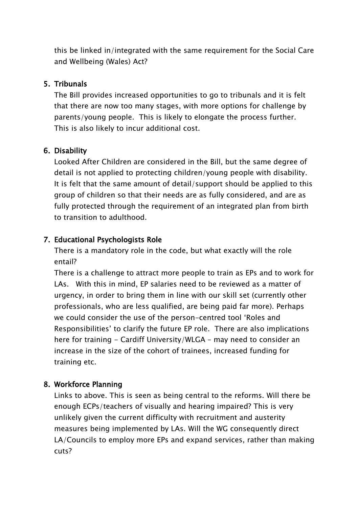this be linked in/integrated with the same requirement for the Social Care and Wellbeing (Wales) Act?

#### 5. Tribunals

The Bill provides increased opportunities to go to tribunals and it is felt that there are now too many stages, with more options for challenge by parents/young people. This is likely to elongate the process further. This is also likely to incur additional cost.

#### 6. Disability

Looked After Children are considered in the Bill, but the same degree of detail is not applied to protecting children/young people with disability. It is felt that the same amount of detail/support should be applied to this group of children so that their needs are as fully considered, and are as fully protected through the requirement of an integrated plan from birth to transition to adulthood.

## 7. Educational Psychologists Role

There is a mandatory role in the code, but what exactly will the role entail?

There is a challenge to attract more people to train as EPs and to work for LAs. With this in mind, EP salaries need to be reviewed as a matter of urgency, in order to bring them in line with our skill set (currently other professionals, who are less qualified, are being paid far more). Perhaps we could consider the use of the person-centred tool 'Roles and Responsibilities' to clarify the future EP role. There are also implications here for training - Cardiff University/WLGA - may need to consider an increase in the size of the cohort of trainees, increased funding for training etc.

#### 8. Workforce Planning

Links to above. This is seen as being central to the reforms. Will there be enough ECPs/teachers of visually and hearing impaired? This is very unlikely given the current difficulty with recruitment and austerity measures being implemented by LAs. Will the WG consequently direct LA/Councils to employ more EPs and expand services, rather than making cuts?